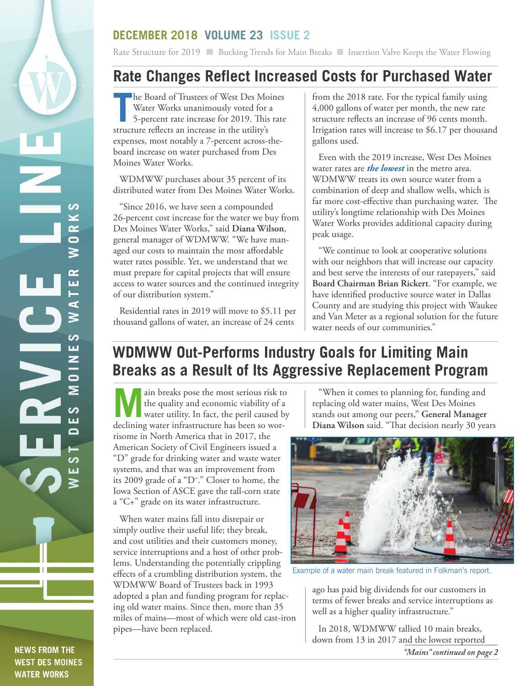## **NEWS FROM THE WEST DES MOINES WATER WORKS**

## **DECEMBER 2018 VOLUME 23 ISSUE 2**

Rate Structure for 2019 Bucking Trends for Main Breaks Insertion Valve Keeps the Water Flowing

## **Rate Changes Reflect Increased Costs for Purchased Water**

**The Board of Trustees of West Des Mo.**<br>
Water Works unanimously voted for a<br>
5-percent rate increase for 2019. This<br>
structure reflects an increase in the utility's he Board of Trustees of West Des Moines Water Works unanimously voted for a 5-percent rate increase for 2019. This rate expenses, most notably a 7-percent across-theboard increase on water purchased from Des Moines Water Works.

WDMWW purchases about 35 percent of its distributed water from Des Moines Water Works.

"Since 2016, we have seen a compounded 26-percent cost increase for the water we buy from Des Moines Water Works," said **Diana Wilson**, general manager of WDMWW. "We have managed our costs to maintain the most affordable water rates possible. Yet, we understand that we must prepare for capital projects that will ensure access to water sources and the continued integrity of our distribution system."

Residential rates in 2019 will move to \$5.11 per thousand gallons of water, an increase of 24 cents

from the 2018 rate. For the typical family using 4,000 gallons of water per month, the new rate structure reflects an increase of 96 cents month. Irrigation rates will increase to \$6.17 per thousand gallons used.

Even with the 2019 increase, West Des Moines water rates are *the lowest* in the metro area. WDMWW treats its own source water from a combination of deep and shallow wells, which is far more cost-effective than purchasing water. The utility's longtime relationship with Des Moines Water Works provides additional capacity during peak usage.

"We continue to look at cooperative solutions with our neighbors that will increase our capacity and best serve the interests of our ratepayers," said **Board Chairman Brian Rickert**. "For example, we have identified productive source water in Dallas County and are studying this project with Waukee and Van Meter as a regional solution for the future water needs of our communities."

# **WDMWW Out-Performs Industry Goals for Limiting Main Breaks as a Result of Its Aggressive Replacement Program**

**Main breaks pose the most serious risk to**<br>the quality and economic viability of a<br>water utility. In fact, the peril caused by<br>dedicing proper information has been a small. the quality and economic viability of a declining water infrastructure has been so worrisome in North America that in 2017, the American Society of Civil Engineers issued a "D" grade for drinking water and waste water systems, and that was an improvement from its 2009 grade of a "D-." Closer to home, the Iowa Section of ASCE gave the tall-corn state a "C+" grade on its water infrastructure.

When water mains fall into disrepair or simply outlive their useful life; they break, and cost utilities and their customers money, service interruptions and a host of other problems. Understanding the potentially crippling effects of a crumbling distribution system, the WDMWW Board of Trustees back in 1993 adopted a plan and funding program for replacing old water mains. Since then, more than 35 miles of mains—most of which were old cast-iron pipes—have been replaced.

"When it comes to planning for, funding and replacing old water mains, West Des Moines stands out among our peers," **General Manager Diana Wilson** said. "That decision nearly 30 years



Example of a water main break featured in Folkman's report.

ago has paid big dividends for our customers in terms of fewer breaks and service interruptions as well as a higher quality infrastructure."

In 2018, WDMWW tallied 10 main breaks, down from 13 in 2017 and the lowest reported